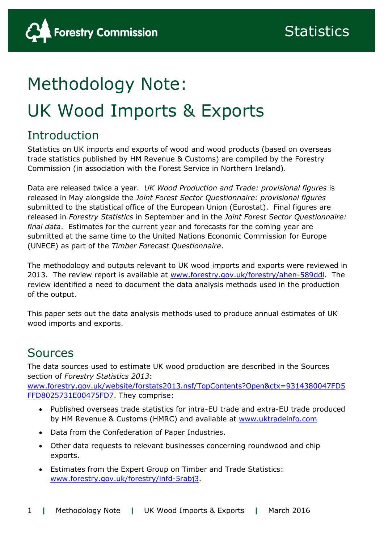# Methodology Note: UK Wood Imports & Exports

## **Introduction**

Statistics on UK imports and exports of wood and wood products (based on overseas trade statistics published by HM Revenue & Customs) are compiled by the Forestry Commission (in association with the Forest Service in Northern Ireland).

Data are released twice a year. *UK Wood Production and Trade: provisional figures* is released in May alongside the *Joint Forest Sector Questionnaire: provisional figures* submitted to the statistical office of the European Union (Eurostat). Final figures are released in *Forestry Statistics* in September and in the *Joint Forest Sector Questionnaire: final data*. Estimates for the current year and forecasts for the coming year are submitted at the same time to the United Nations Economic Commission for Europe (UNECE) as part of the *Timber Forecast Questionnaire*.

The methodology and outputs relevant to UK wood imports and exports were reviewed in 2013. The review report is available at [www.forestry.gov.uk/forestry/ahen-589ddl.](http://www.forestry.gov.uk/forestry/ahen-589ddl) The review identified a need to document the data analysis methods used in the production of the output.

This paper sets out the data analysis methods used to produce annual estimates of UK wood imports and exports.

### Sources

The data sources used to estimate UK wood production are described in the Sources section of *Forestry Statistics 2013*:

[www.forestry.gov.uk/website/forstats2013.nsf/TopContents?Open&ctx=9314380047FD5](http://www.forestry.gov.uk/website/forstats2013.nsf/TopContents?Open&ctx=9314380047FD5FFD8025731E00475FD7) [FFD8025731E00475FD7.](http://www.forestry.gov.uk/website/forstats2013.nsf/TopContents?Open&ctx=9314380047FD5FFD8025731E00475FD7) They comprise:

- Published overseas trade statistics for intra-EU trade and extra-EU trade produced by HM Revenue & Customs (HMRC) and available at [www.uktradeinfo.com](http://www.uktradeinfo.com/)
- Data from the Confederation of Paper Industries.
- Other data requests to relevant businesses concerning roundwood and chip exports.
- Estimates from the Expert Group on Timber and Trade Statistics: [www.forestry.gov.uk/forestry/infd-5rabj3.](http://www.forestry.gov.uk/forestry/infd-5rabj3)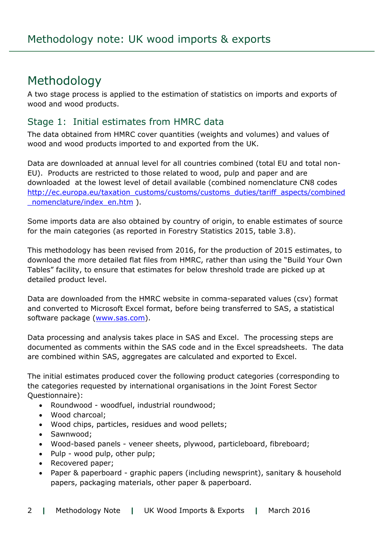### Methodology

A two stage process is applied to the estimation of statistics on imports and exports of wood and wood products.

#### Stage 1: Initial estimates from HMRC data

The data obtained from HMRC cover quantities (weights and volumes) and values of wood and wood products imported to and exported from the UK.

Data are downloaded at annual level for all countries combined (total EU and total non-EU). Products are restricted to those related to wood, pulp and paper and are downloaded at the lowest level of detail available (combined nomenclature CN8 codes [http://ec.europa.eu/taxation\\_customs/customs/customs\\_duties/tariff\\_aspects/combined](http://ec.europa.eu/taxation_customs/customs/customs_duties/tariff_aspects/combined_nomenclature/index_en.htm) [\\_nomenclature/index\\_en.htm](http://ec.europa.eu/taxation_customs/customs/customs_duties/tariff_aspects/combined_nomenclature/index_en.htm) ).

Some imports data are also obtained by country of origin, to enable estimates of source for the main categories (as reported in Forestry Statistics 2015, table 3.8).

This methodology has been revised from 2016, for the production of 2015 estimates, to download the more detailed flat files from HMRC, rather than using the "Build Your Own Tables" facility, to ensure that estimates for below threshold trade are picked up at detailed product level.

Data are downloaded from the HMRC website in comma-separated values (csv) format and converted to Microsoft Excel format, before being transferred to SAS, a statistical software package [\(www.sas.com\)](http://www.sas.com/).

Data processing and analysis takes place in SAS and Excel. The processing steps are documented as comments within the SAS code and in the Excel spreadsheets. The data are combined within SAS, aggregates are calculated and exported to Excel.

The initial estimates produced cover the following product categories (corresponding to the categories requested by international organisations in the Joint Forest Sector Questionnaire):

- Roundwood woodfuel, industrial roundwood;
- Wood charcoal;
- Wood chips, particles, residues and wood pellets;
- Sawnwood;
- Wood-based panels veneer sheets, plywood, particleboard, fibreboard;
- Pulp wood pulp, other pulp;
- Recovered paper;
- Paper & paperboard graphic papers (including newsprint), sanitary & household papers, packaging materials, other paper & paperboard.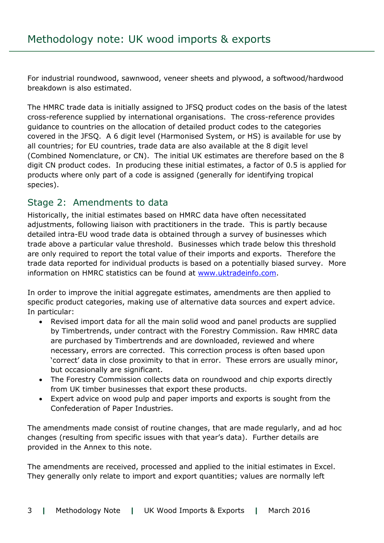For industrial roundwood, sawnwood, veneer sheets and plywood, a softwood/hardwood breakdown is also estimated.

The HMRC trade data is initially assigned to JFSQ product codes on the basis of the latest cross-reference supplied by international organisations. The cross-reference provides guidance to countries on the allocation of detailed product codes to the categories covered in the JFSQ. A 6 digit level (Harmonised System, or HS) is available for use by all countries; for EU countries, trade data are also available at the 8 digit level (Combined Nomenclature, or CN). The initial UK estimates are therefore based on the 8 digit CN product codes. In producing these initial estimates, a factor of 0.5 is applied for products where only part of a code is assigned (generally for identifying tropical species).

#### Stage 2: Amendments to data

Historically, the initial estimates based on HMRC data have often necessitated adjustments, following liaison with practitioners in the trade. This is partly because detailed intra-EU wood trade data is obtained through a survey of businesses which trade above a particular value threshold. Businesses which trade below this threshold are only required to report the total value of their imports and exports. Therefore the trade data reported for individual products is based on a potentially biased survey. More information on HMRC statistics can be found at [www.uktradeinfo.com.](http://www.uktradeinfo.com/)

In order to improve the initial aggregate estimates, amendments are then applied to specific product categories, making use of alternative data sources and expert advice. In particular:

- Revised import data for all the main solid wood and panel products are supplied by Timbertrends, under contract with the Forestry Commission. Raw HMRC data are purchased by Timbertrends and are downloaded, reviewed and where necessary, errors are corrected. This correction process is often based upon 'correct' data in close proximity to that in error. These errors are usually minor, but occasionally are significant.
- The Forestry Commission collects data on roundwood and chip exports directly from UK timber businesses that export these products.
- Expert advice on wood pulp and paper imports and exports is sought from the Confederation of Paper Industries.

The amendments made consist of routine changes, that are made regularly, and ad hoc changes (resulting from specific issues with that year's data). Further details are provided in the Annex to this note.

The amendments are received, processed and applied to the initial estimates in Excel. They generally only relate to import and export quantities; values are normally left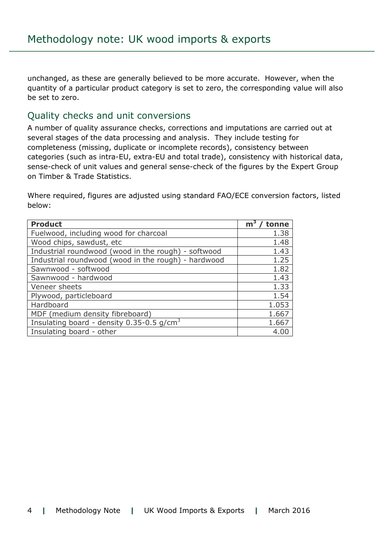unchanged, as these are generally believed to be more accurate. However, when the quantity of a particular product category is set to zero, the corresponding value will also be set to zero.

#### Quality checks and unit conversions

A number of quality assurance checks, corrections and imputations are carried out at several stages of the data processing and analysis. They include testing for completeness (missing, duplicate or incomplete records), consistency between categories (such as intra-EU, extra-EU and total trade), consistency with historical data, sense-check of unit values and general sense-check of the figures by the Expert Group on Timber & Trade Statistics.

Where required, figures are adjusted using standard FAO/ECE conversion factors, listed below:

| <b>Product</b>                                           | m <sup>3</sup><br>tonne |
|----------------------------------------------------------|-------------------------|
| Fuelwood, including wood for charcoal                    | 1.38                    |
| Wood chips, sawdust, etc                                 | 1.48                    |
| Industrial roundwood (wood in the rough) - softwood      | 1.43                    |
| Industrial roundwood (wood in the rough) - hardwood      | 1.25                    |
| Sawnwood - softwood                                      | 1.82                    |
| Sawnwood - hardwood                                      | 1.43                    |
| Veneer sheets                                            | 1.33                    |
| Plywood, particleboard                                   | 1.54                    |
| Hardboard                                                | 1.053                   |
| MDF (medium density fibreboard)                          | 1.667                   |
| Insulating board - density $0.35$ -0.5 g/cm <sup>3</sup> | 1.667                   |
| Insulating board - other                                 | 4.00                    |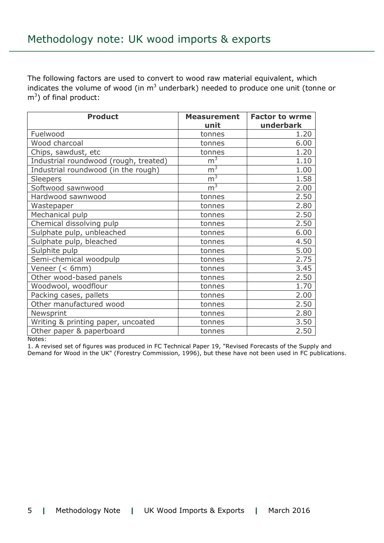The following factors are used to convert to wood raw material equivalent, which indicates the volume of wood (in  $m<sup>3</sup>$  underbark) needed to produce one unit (tonne or  $\text{m}^3$ ) of final product:

| <b>Product</b>                        | <b>Measurement</b> | <b>Factor to wrme</b> |  |
|---------------------------------------|--------------------|-----------------------|--|
|                                       | unit               | underbark             |  |
| Fuelwood                              | tonnes             | 1.20                  |  |
| Wood charcoal                         | tonnes             | 6.00                  |  |
| Chips, sawdust, etc                   | tonnes             | 1.20                  |  |
| Industrial roundwood (rough, treated) | m <sup>3</sup>     | 1.10                  |  |
| Industrial roundwood (in the rough)   | m <sup>3</sup>     | 1.00                  |  |
| <b>Sleepers</b>                       | m <sup>3</sup>     | 1.58                  |  |
| Softwood sawnwood                     | m <sup>3</sup>     | 2.00                  |  |
| Hardwood sawnwood                     | tonnes             | 2.50                  |  |
| Wastepaper                            | tonnes             | 2.80                  |  |
| Mechanical pulp                       | tonnes             | 2.50                  |  |
| Chemical dissolving pulp              | tonnes             | 2.50                  |  |
| Sulphate pulp, unbleached             | tonnes             | 6.00                  |  |
| Sulphate pulp, bleached               | tonnes             | 4.50                  |  |
| Sulphite pulp                         | tonnes             | 5.00                  |  |
| Semi-chemical woodpulp                | tonnes             | 2.75                  |  |
| Veneer (< 6mm)                        | tonnes             | 3.45                  |  |
| Other wood-based panels               | tonnes             | 2.50                  |  |
| Woodwool, woodflour                   | tonnes             | 1.70                  |  |
| Packing cases, pallets                | tonnes             | 2.00                  |  |
| Other manufactured wood               | tonnes             | 2.50                  |  |
| Newsprint                             | tonnes             | 2.80                  |  |
| Writing & printing paper, uncoated    | tonnes             | 3.50                  |  |
| Other paper & paperboard              | tonnes             | 2.50                  |  |

Notes:

1. A revised set of figures was produced in FC Technical Paper 19, "Revised Forecasts of the Supply and Demand for Wood in the UK" (Forestry Commission, 1996), but these have not been used in FC publications.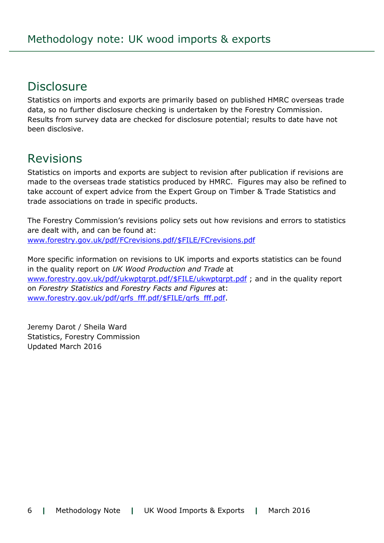### **Disclosure**

Statistics on imports and exports are primarily based on published HMRC overseas trade data, so no further disclosure checking is undertaken by the Forestry Commission. Results from survey data are checked for disclosure potential; results to date have not been disclosive.

### Revisions

Statistics on imports and exports are subject to revision after publication if revisions are made to the overseas trade statistics produced by HMRC. Figures may also be refined to take account of expert advice from the Expert Group on Timber & Trade Statistics and trade associations on trade in specific products.

The Forestry Commission's revisions policy sets out how revisions and errors to statistics are dealt with, and can be found at: [www.forestry.gov.uk/pdf/FCrevisions.pdf/\\$FILE/FCrevisions.pdf](http://www.forestry.gov.uk/pdf/FCrevisions.pdf/$FILE/FCrevisions.pdf)

More specific information on revisions to UK imports and exports statistics can be found in the quality report on *UK Wood Production and Trade* at [www.forestry.gov.uk/pdf/ukwptqrpt.pdf/\\$FILE/ukwptqrpt.pdf](http://www.forestry.gov.uk/pdf/ukwptqrpt.pdf/$FILE/ukwptqrpt.pdf); and in the quality report on *Forestry Statistics* and *Forestry Facts and Figures* at: [www.forestry.gov.uk/pdf/qrfs\\_fff.pdf/\\$FILE/qrfs\\_fff.pdf.](http://www.forestry.gov.uk/pdf/qrfs_fff.pdf/$FILE/qrfs_fff.pdf)

Jeremy Darot / Sheila Ward Statistics, Forestry Commission Updated March 2016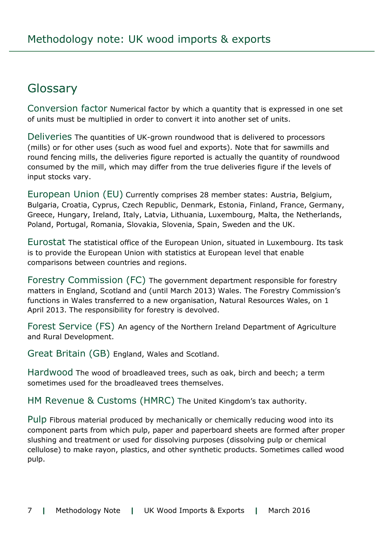### Glossary

Conversion factor Numerical factor by which a quantity that is expressed in one set of units must be multiplied in order to convert it into another set of units.

Deliveries The quantities of UK-grown roundwood that is delivered to processors (mills) or for other uses (such as wood fuel and exports). Note that for sawmills and round fencing mills, the deliveries figure reported is actually the quantity of roundwood consumed by the mill, which may differ from the true deliveries figure if the levels of input stocks vary.

European Union (EU) Currently comprises 28 member states: Austria, Belgium, Bulgaria, Croatia, Cyprus, Czech Republic, Denmark, Estonia, Finland, France, Germany, Greece, Hungary, Ireland, Italy, Latvia, Lithuania, Luxembourg, Malta, the Netherlands, Poland, Portugal, Romania, Slovakia, Slovenia, Spain, Sweden and the UK.

Eurostat The statistical office of the European Union, situated in Luxembourg. Its task is to provide the European Union with statistics at European level that enable comparisons between countries and regions.

Forestry Commission (FC) The government department responsible for forestry matters in England, Scotland and (until March 2013) Wales. The Forestry Commission's functions in Wales transferred to a new organisation, Natural Resources Wales, on 1 April 2013. The responsibility for forestry is devolved.

Forest Service (FS) An agency of the Northern Ireland Department of Agriculture and Rural Development.

Great Britain (GB) England, Wales and Scotland.

Hardwood The wood of broadleaved trees, such as oak, birch and beech; a term sometimes used for the broadleaved trees themselves.

HM Revenue & Customs (HMRC) The United Kingdom's tax authority.

Pulp Fibrous material produced by mechanically or chemically reducing wood into its component parts from which pulp, paper and paperboard sheets are formed after proper slushing and treatment or used for dissolving purposes (dissolving pulp or chemical cellulose) to make rayon, plastics, and other synthetic products. Sometimes called wood pulp.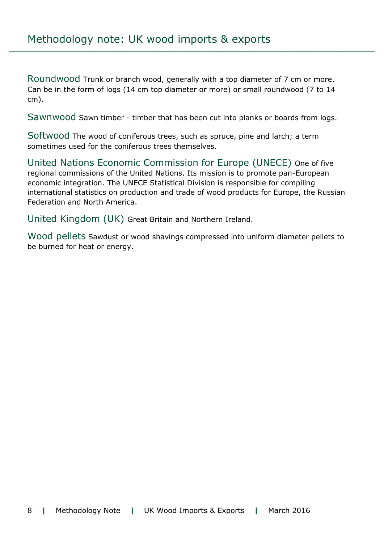Roundwood Trunk or branch wood, generally with a top diameter of 7 cm or more. Can be in the form of logs (14 cm top diameter or more) or small roundwood (7 to 14 cm).

Sawnwood Sawn timber - timber that has been cut into planks or boards from logs.

Softwood The wood of coniferous trees, such as spruce, pine and larch; a term sometimes used for the coniferous trees themselves.

United Nations Economic Commission for Europe (UNECE) One of five regional commissions of the United Nations. Its mission is to promote pan-European economic integration. The UNECE Statistical Division is responsible for compiling international statistics on production and trade of wood products for Europe, the Russian Federation and North America.

United Kingdom (UK) Great Britain and Northern Ireland.

Wood pellets Sawdust or wood shavings compressed into uniform diameter pellets to be burned for heat or energy.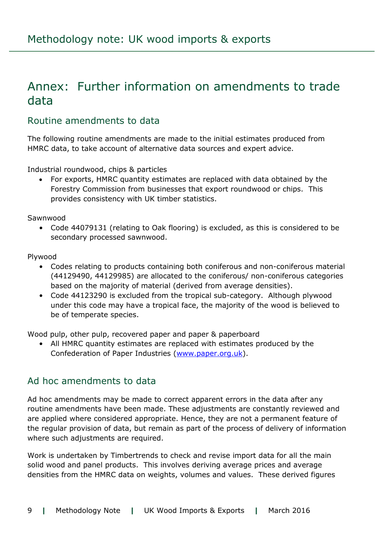### Annex: Further information on amendments to trade data

#### Routine amendments to data

The following routine amendments are made to the initial estimates produced from HMRC data, to take account of alternative data sources and expert advice.

Industrial roundwood, chips & particles

 For exports, HMRC quantity estimates are replaced with data obtained by the Forestry Commission from businesses that export roundwood or chips. This provides consistency with UK timber statistics.

Sawnwood

• Code 44079131 (relating to Oak flooring) is excluded, as this is considered to be secondary processed sawnwood.

Plywood

- Codes relating to products containing both coniferous and non-coniferous material (44129490, 44129985) are allocated to the coniferous/ non-coniferous categories based on the majority of material (derived from average densities).
- Code 44123290 is excluded from the tropical sub-category. Although plywood under this code may have a tropical face, the majority of the wood is believed to be of temperate species.

Wood pulp, other pulp, recovered paper and paper & paperboard

• All HMRC quantity estimates are replaced with estimates produced by the Confederation of Paper Industries [\(www.paper.org.uk\)](http://www.paper.org.uk/).

#### Ad hoc amendments to data

Ad hoc amendments may be made to correct apparent errors in the data after any routine amendments have been made. These adjustments are constantly reviewed and are applied where considered appropriate. Hence, they are not a permanent feature of the regular provision of data, but remain as part of the process of delivery of information where such adjustments are required.

Work is undertaken by Timbertrends to check and revise import data for all the main solid wood and panel products. This involves deriving average prices and average densities from the HMRC data on weights, volumes and values. These derived figures